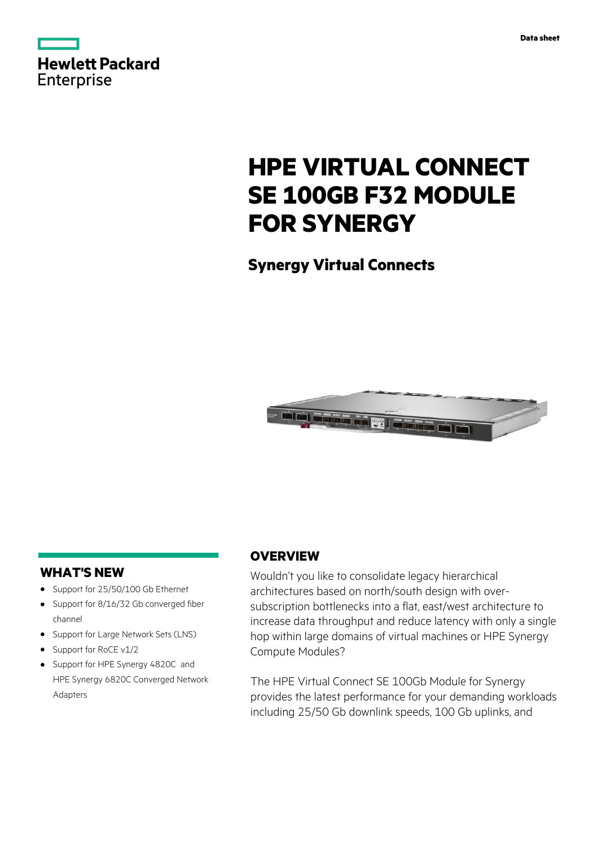

# **HPE VIRTUAL CONNECT SE 100GB F32 MODULE FOR SYNERGY**

**Synergy Virtual Connects**



## **WHAT'S NEW**

- **·** Support for 25/50/100 Gb Ethernet
- **·** Support for 8/16/32 Gb converged fiber channel
- **·** Support for Large Network Sets (LNS)
- **·** Support for RoCE v1/2
- **·** Support for HPE Synergy 4820C and HPE Synergy 6820C Converged Network Adapters

## **OVERVIEW**

Wouldn't you like to consolidate legacy hierarchical architectures based on north/south design with oversubscription bottlenecks into a flat, east/west architecture to increase data throughput and reduce latency with only a single hop within large domains of virtual machines or HPE Synergy Compute Modules?

The HPE Virtual Connect SE 100Gb Module for Synergy provides the latest performance for your demanding workloads including 25/50 Gb downlink speeds, 100 Gb uplinks, and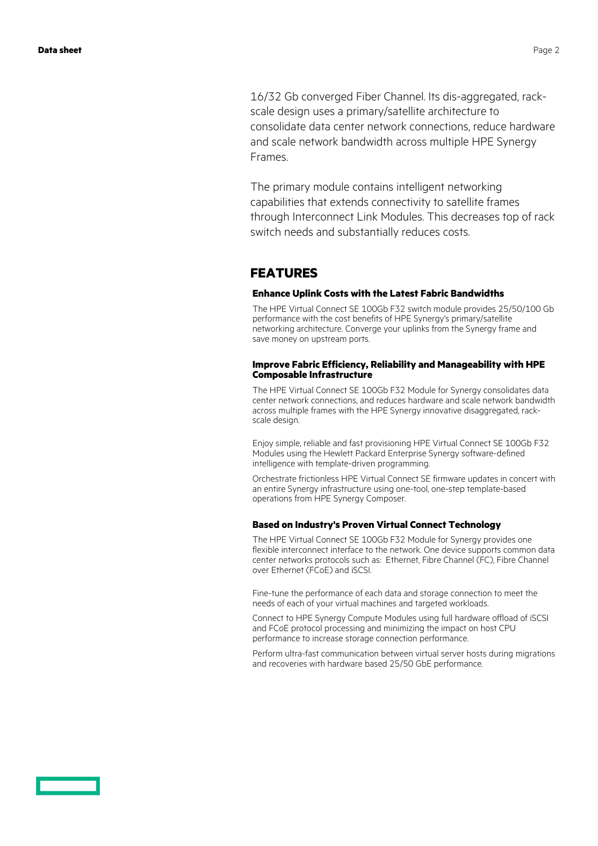16/32 Gb converged Fiber Channel. Its dis-aggregated, rackscale design uses a primary/satellite architecture to consolidate data center network connections, reduce hardware and scale network bandwidth across multiple HPE Synergy Frames.

The primary module contains intelligent networking capabilities that extends connectivity to satellite frames through Interconnect Link Modules. This decreases top of rack switch needs and substantially reduces costs.

## **FEATURES**

### **Enhance Uplink Costs with the Latest Fabric Bandwidths**

The HPE Virtual Connect SE 100Gb F32 switch module provides 25/50/100 Gb performance with the cost benefits of HPE Synergy's primary/satellite networking architecture. Converge your uplinks from the Synergy frame and save money on upstream ports.

### **Improve Fabric Efficiency, Reliability and Manageability with HPE Composable Infrastructure**

The HPE Virtual Connect SE 100Gb F32 Module for Synergy consolidates data center network connections, and reduces hardware and scale network bandwidth across multiple frames with the HPE Synergy innovative disaggregated, rackscale design.

Enjoy simple, reliable and fast provisioning HPE Virtual Connect SE 100Gb F32 Modules using the Hewlett Packard Enterprise Synergy software-defined intelligence with template-driven programming.

Orchestrate frictionless HPE Virtual Connect SE firmware updates in concert with an entire Synergy infrastructure using one-tool, one-step template-based operations from HPE Synergy Composer.

### **Based on Industry's Proven Virtual Connect Technology**

The HPE Virtual Connect SE 100Gb F32 Module for Synergy provides one flexible interconnect interface to the network. One device supports common data center networks protocols such as: Ethernet, Fibre Channel (FC), Fibre Channel over Ethernet (FCoE) and iSCSI.

Fine-tune the performance of each data and storage connection to meet the needs of each of your virtual machines and targeted workloads.

Connect to HPE Synergy Compute Modules using full hardware offload of iSCSI and FCoE protocol processing and minimizing the impact on host CPU performance to increase storage connection performance.

Perform ultra-fast communication between virtual server hosts during migrations and recoveries with hardware based 25/50 GbE performance.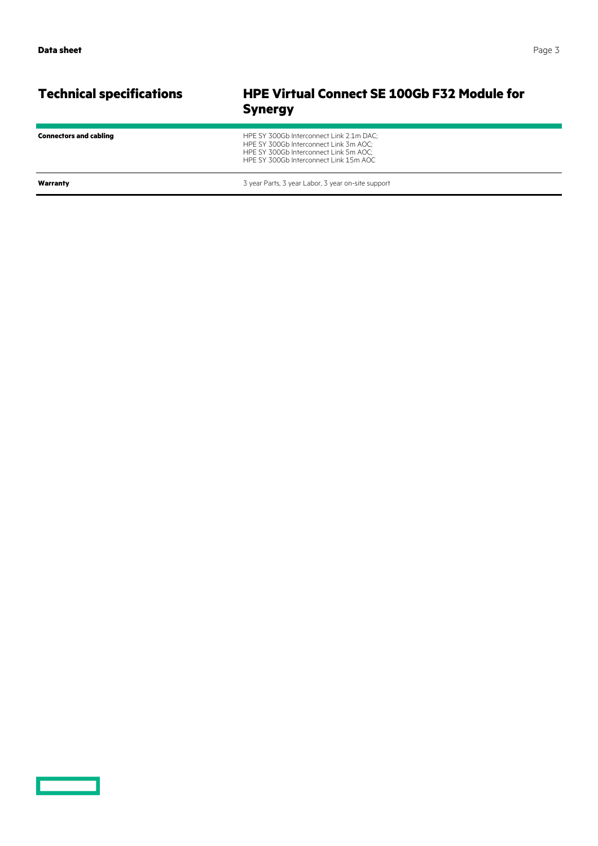<u>and the second part of the second part of the second part of the second part of the second part of the second part of the second part of the second part of the second part of the second part of the second part of the seco</u>

## **Technical specifications HPE Virtual Connect SE 100Gb F32 Module for Synergy**

| <b>Connectors and cabling</b> | HPE SY 300Gb Interconnect Link 2.1m DAC;<br>HPE SY 300Gb Interconnect Link 3m AOC:<br>HPE SY 300Gb Interconnect Link 5m AOC:<br>HPE SY 300Gb Interconnect Link 15m AOC |
|-------------------------------|------------------------------------------------------------------------------------------------------------------------------------------------------------------------|
| Warranty                      | 3 year Parts, 3 year Labor, 3 year on-site support                                                                                                                     |